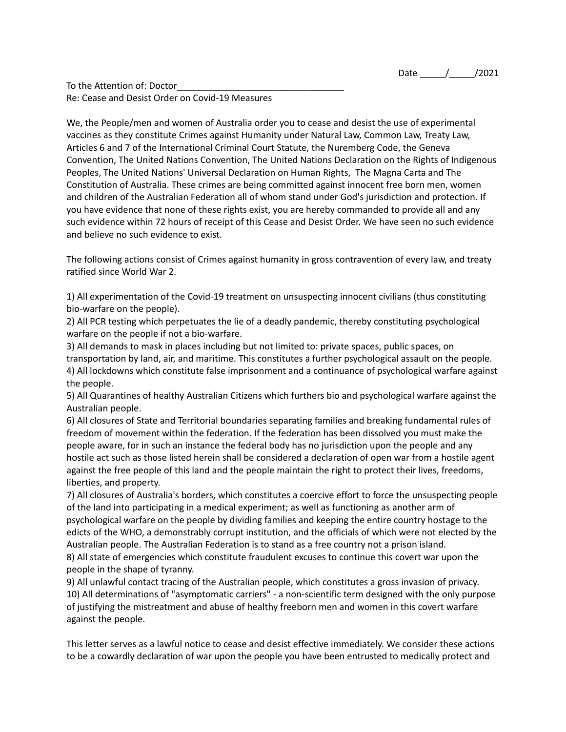To the Attention of: Doctor Re: Cease and Desist Order on Covid-19 Measures

We, the People/men and women of Australia order you to cease and desist the use of experimental vaccines as they constitute Crimes against Humanity under Natural Law, Common Law, Treaty Law, Articles 6 and 7 of the International Criminal Court Statute, the Nuremberg Code, the Geneva Convention, The United Nations Convention, The United Nations Declaration on the Rights of Indigenous Peoples, The United Nations' Universal Declaration on Human Rights, The Magna Carta and The Constitution of Australia. These crimes are being committed against innocent free born men, women and children of the Australian Federation all of whom stand under God's jurisdiction and protection. If you have evidence that none of these rights exist, you are hereby commanded to provide all and any such evidence within 72 hours of receipt of this Cease and Desist Order. We have seen no such evidence and believe no such evidence to exist.

The following actions consist of Crimes against humanity in gross contravention of every law, and treaty ratified since World War 2.

1) All experimentation of the Covid-19 treatment on unsuspecting innocent civilians (thus constituting bio-warfare on the people).

2) All PCR testing which perpetuates the lie of a deadly pandemic, thereby constituting psychological warfare on the people if not a bio-warfare.

3) All demands to mask in places including but not limited to: private spaces, public spaces, on transportation by land, air, and maritime. This constitutes a further psychological assault on the people. 4) All lockdowns which constitute false imprisonment and a continuance of psychological warfare against the people.

5) All Quarantines of healthy Australian Citizens which furthers bio and psychological warfare against the Australian people.

6) All closures of State and Territorial boundaries separating families and breaking fundamental rules of freedom of movement within the federation. If the federation has been dissolved you must make the people aware, for in such an instance the federal body has no jurisdiction upon the people and any hostile act such as those listed herein shall be considered a declaration of open war from a hostile agent against the free people of this land and the people maintain the right to protect their lives, freedoms, liberties, and property.

7) All closures of Australia's borders, which constitutes a coercive effort to force the unsuspecting people of the land into participating in a medical experiment; as well as functioning as another arm of psychological warfare on the people by dividing families and keeping the entire country hostage to the edicts of the WHO, a demonstrably corrupt institution, and the officials of which were not elected by the Australian people. The Australian Federation is to stand as a free country not a prison island. 8) All state of emergencies which constitute fraudulent excuses to continue this covert war upon the people in the shape of tyranny.

9) All unlawful contact tracing of the Australian people, which constitutes a gross invasion of privacy. 10) All determinations of "asymptomatic carriers" - a non-scientific term designed with the only purpose of justifying the mistreatment and abuse of healthy freeborn men and women in this covert warfare against the people.

This letter serves as a lawful notice to cease and desist effective immediately. We consider these actions to be a cowardly declaration of war upon the people you have been entrusted to medically protect and